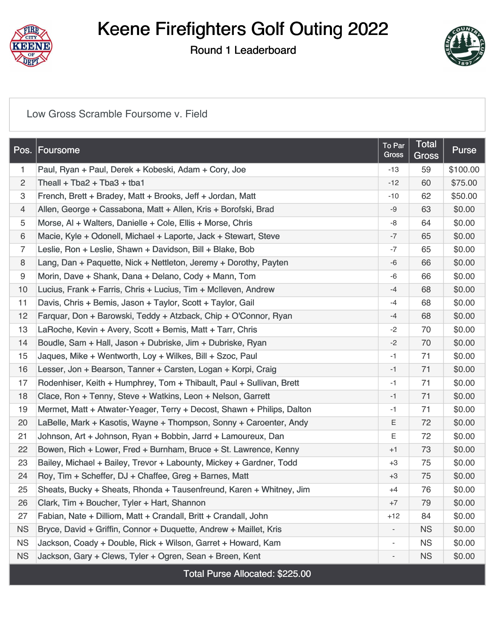

## Keene Firefighters Golf Outing 2022

Round 1 Leaderboard



[Low Gross Scramble Foursome v. Field](https://static.golfgenius.com/v2tournaments/8549832118694336335?called_from=&round_index=1)

| Pos.           | Foursome                                                               | To Par<br>Gross          | Total<br>Gross | <b>Purse</b> |
|----------------|------------------------------------------------------------------------|--------------------------|----------------|--------------|
| 1              | Paul, Ryan + Paul, Derek + Kobeski, Adam + Cory, Joe                   | $-13$                    | 59             | \$100.00     |
| $\overline{c}$ | Theall + Tba2 + Tba3 + tba1                                            | $-12$                    | 60             | \$75.00      |
| 3              | French, Brett + Bradey, Matt + Brooks, Jeff + Jordan, Matt             | -10                      | 62             | \$50.00      |
| 4              | Allen, George + Cassabona, Matt + Allen, Kris + Borofski, Brad         | -9                       | 63             | \$0.00       |
| 5              | Morse, AI + Walters, Danielle + Cole, Ellis + Morse, Chris             | -8                       | 64             | \$0.00       |
| 6              | Macie, Kyle + Odonell, Michael + Laporte, Jack + Stewart, Steve        | $-7$                     | 65             | \$0.00       |
| 7              | Leslie, Ron + Leslie, Shawn + Davidson, Bill + Blake, Bob              | -7                       | 65             | \$0.00       |
| 8              | Lang, Dan + Paquette, Nick + Nettleton, Jeremy + Dorothy, Payten       | $-6$                     | 66             | \$0.00       |
| 9              | Morin, Dave + Shank, Dana + Delano, Cody + Mann, Tom                   | -6                       | 66             | \$0.00       |
| 10             | Lucius, Frank + Farris, Chris + Lucius, Tim + McIleven, Andrew         | $-4$                     | 68             | \$0.00       |
| 11             | Davis, Chris + Bemis, Jason + Taylor, Scott + Taylor, Gail             | -4                       | 68             | \$0.00       |
| 12             | Farguar, Don + Barowski, Teddy + Atzback, Chip + O'Connor, Ryan        | $-4$                     | 68             | \$0.00       |
| 13             | LaRoche, Kevin + Avery, Scott + Bemis, Matt + Tarr, Chris              | $-2$                     | 70             | \$0.00       |
| 14             | Boudle, Sam + Hall, Jason + Dubriske, Jim + Dubriske, Ryan             | $-2$                     | 70             | \$0.00       |
| 15             | Jaques, Mike + Wentworth, Loy + Wilkes, Bill + Szoc, Paul              | -1                       | 71             | \$0.00       |
| 16             | Lesser, Jon + Bearson, Tanner + Carsten, Logan + Korpi, Craig          | $-1$                     | 71             | \$0.00       |
| 17             | Rodenhiser, Keith + Humphrey, Tom + Thibault, Paul + Sullivan, Brett   | $-1$                     | 71             | \$0.00       |
| 18             | Clace, Ron + Tenny, Steve + Watkins, Leon + Nelson, Garrett            | $-1$                     | 71             | \$0.00       |
| 19             | Mermet, Matt + Atwater-Yeager, Terry + Decost, Shawn + Philips, Dalton | -1                       | 71             | \$0.00       |
| 20             | LaBelle, Mark + Kasotis, Wayne + Thompson, Sonny + Caroenter, Andy     | Ε                        | 72             | \$0.00       |
| 21             | Johnson, Art + Johnson, Ryan + Bobbin, Jarrd + Lamoureux, Dan          | Ε                        | 72             | \$0.00       |
| 22             | Bowen, Rich + Lower, Fred + Burnham, Bruce + St. Lawrence, Kenny       | $+1$                     | 73             | \$0.00       |
| 23             | Bailey, Michael + Bailey, Trevor + Labounty, Mickey + Gardner, Todd    | $+3$                     | 75             | \$0.00       |
| 24             | Roy, Tim + Scheffer, DJ + Chaffee, Greg + Barnes, Matt                 | $+3$                     | 75             | \$0.00       |
| 25             | Sheats, Bucky + Sheats, Rhonda + Tausenfreund, Karen + Whitney, Jim    | $+4$                     | 76             | \$0.00       |
| 26             | Clark, Tim + Boucher, Tyler + Hart, Shannon                            | $+7$                     | 79             | \$0.00       |
| 27             | Fabian, Nate + Dilliom, Matt + Crandall, Britt + Crandall, John        | $+12$                    | 84             | \$0.00       |
| <b>NS</b>      | Bryce, David + Griffin, Connor + Duquette, Andrew + Maillet, Kris      |                          | <b>NS</b>      | \$0.00       |
| <b>NS</b>      | Jackson, Coady + Double, Rick + Wilson, Garret + Howard, Kam           | $\overline{\phantom{a}}$ | <b>NS</b>      | \$0.00       |
| <b>NS</b>      | Jackson, Gary + Clews, Tyler + Ogren, Sean + Breen, Kent               |                          | <b>NS</b>      | \$0.00       |

Total Purse Allocated: \$225.00